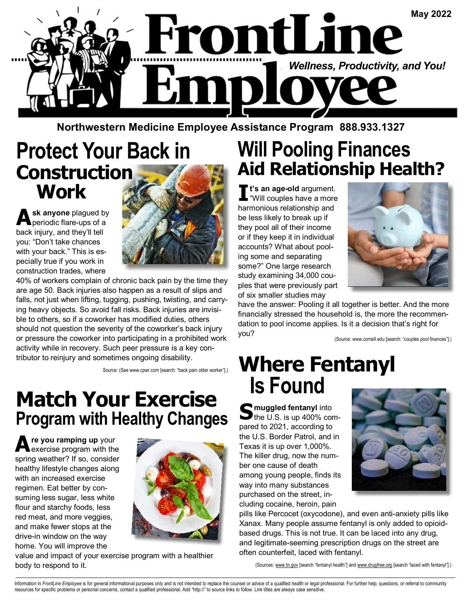

**Northwestern Medicine Employee Assistance Program 888.933.1327** 

## **Protect Your Back in Construction Work**

A **sk anyone** plagued by periodic flare-ups of a back injury, and they'll tell you: "Don't take chances with your back." This is especially true if you work in construction trades, where



40% of workers complain of chronic back pain by the time they are age 50. Back injuries also happen as a result of slips and falls, not just when lifting, tugging, pushing, twisting, and carrying heavy objects. So avoid fall risks. Back injuries are invisible to others, so if a coworker has modified duties, others should not question the severity of the coworker's back injury or pressure the coworker into participating in a prohibited work activity while in recovery. Such peer pressure is a key contributor to reinjury and sometimes ongoing disability.

Source: (See www.cpwr.com [search: "back pain older worker"].)

#### **Match Your Exercise Program with Healthy Changes**

**A re you ramping up** your exercise program with the spring weather? If so, consider healthy lifestyle changes along with an increased exercise regimen. Eat better by consuming less sugar, less white flour and starchy foods, less red meat, and more veggies, and make fewer stops at the drive-in window on the way home. You will improve the



value and impact of your exercise program with a healthier body to respond to it.

## **Will Pooling Finances Aid Relationship Health?**

**I t's an age-old** argument. "Will couples have a more harmonious relationship and be less likely to break up if they pool all of their income or if they keep it in individual accounts? What about pooling some and separating some?" One large research study examining 34,000 couples that were previously part of six smaller studies may



have the answer: Pooling it all together is better. And the more financially stressed the household is, the more the recommendation to pool income applies. Is it a decision that's right for you?

(Source: www.cornell.edu [search: "couples pool finances"].)

## **Where Fentanyl Is Found**

S muggled fentanyl into<br>
the U.S. is up 400% compared to 2021, according to the U.S. Border Patrol, and in Texas it is up over 1,000%. The killer drug, now the number one cause of death among young people, finds its way into many substances purchased on the street, including cocaine, heroin, pain



pills like Percocet (oxycodone), and even anti-anxiety pills like Xanax. Many people assume fentanyl is only added to opioidbased drugs. This is not true. It can be laced into any drug, and legitimate-seeming prescription drugs on the street are often counterfeit, laced with fentanyl.

(Sources: www.tn.gov [search "fentanyl health"] and www.drugfree.org [search "laced with fentanyl"].)

Information in FrontLine Employee is for general informational purposes only and is not intended to replace the counsel or advice of a qualified health or legal professional. For further help, questions, or referral to com resources for specific problems or personal concerns, contact a qualified professional. Add "http://" to source links to follow. Link titles are always case sensitive.